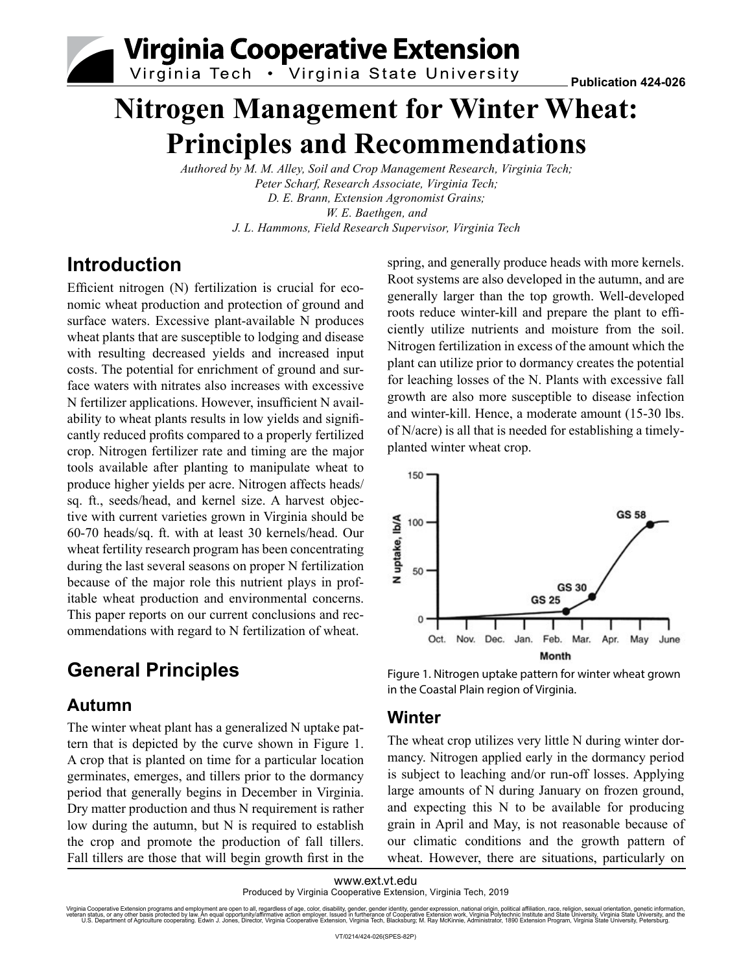**Virginia Cooperative Extension** 

Virginia Tech . Virginia State University

# **Nitrogen Management for Winter Wheat: Principles and Recommendations**

*Authored by M. M. Alley, Soil and Crop Management Research, Virginia Tech; Peter Scharf, Research Associate, Virginia Tech; D. E. Brann, Extension Agronomist Grains; W. E. Baethgen, and J. L. Hammons, Field Research Supervisor, Virginia Tech*

# **Introduction**

Efficient nitrogen (N) fertilization is crucial for economic wheat production and protection of ground and surface waters. Excessive plant-available N produces wheat plants that are susceptible to lodging and disease with resulting decreased yields and increased input costs. The potential for enrichment of ground and surface waters with nitrates also increases with excessive N fertilizer applications. However, insufficient N availability to wheat plants results in low yields and significantly reduced profits compared to a properly fertilized crop. Nitrogen fertilizer rate and timing are the major tools available after planting to manipulate wheat to produce higher yields per acre. Nitrogen affects heads/ sq. ft., seeds/head, and kernel size. A harvest objective with current varieties grown in Virginia should be 60-70 heads/sq. ft. with at least 30 kernels/head. Our wheat fertility research program has been concentrating during the last several seasons on proper N fertilization because of the major role this nutrient plays in profitable wheat production and environmental concerns. This paper reports on our current conclusions and recommendations with regard to N fertilization of wheat.

# **General Principles**

### **Autumn**

The winter wheat plant has a generalized N uptake pattern that is depicted by the curve shown in Figure 1. A crop that is planted on time for a particular location germinates, emerges, and tillers prior to the dormancy period that generally begins in December in Virginia. Dry matter production and thus N requirement is rather low during the autumn, but N is required to establish the crop and promote the production of fall tillers. Fall tillers are those that will begin growth first in the

spring, and generally produce heads with more kernels. Root systems are also developed in the autumn, and are generally larger than the top growth. Well-developed roots reduce winter-kill and prepare the plant to efficiently utilize nutrients and moisture from the soil. Nitrogen fertilization in excess of the amount which the plant can utilize prior to dormancy creates the potential for leaching losses of the N. Plants with excessive fall growth are also more susceptible to disease infection and winter-kill. Hence, a moderate amount (15-30 lbs. of N/acre) is all that is needed for establishing a timelyplanted winter wheat crop.



Figure 1. Nitrogen uptake pattern for winter wheat grown in the Coastal Plain region of Virginia.

### **Winter**

The wheat crop utilizes very little N during winter dormancy. Nitrogen applied early in the dormancy period is subject to leaching and/or run-off losses. Applying large amounts of N during January on frozen ground, and expecting this N to be available for producing grain in April and May, is not reasonable because of our climatic conditions and the growth pattern of wheat. However, there are situations, particularly on

www.ext.vt.edu Produced by Virginia Cooperative Extension, Virginia Tech, 2019

Virginia Cooperative Extension programs and employment are open to all, regardless of age, color, disability, gender, gender identity, gender schange in the information, gamethroughten in production, pare information, gene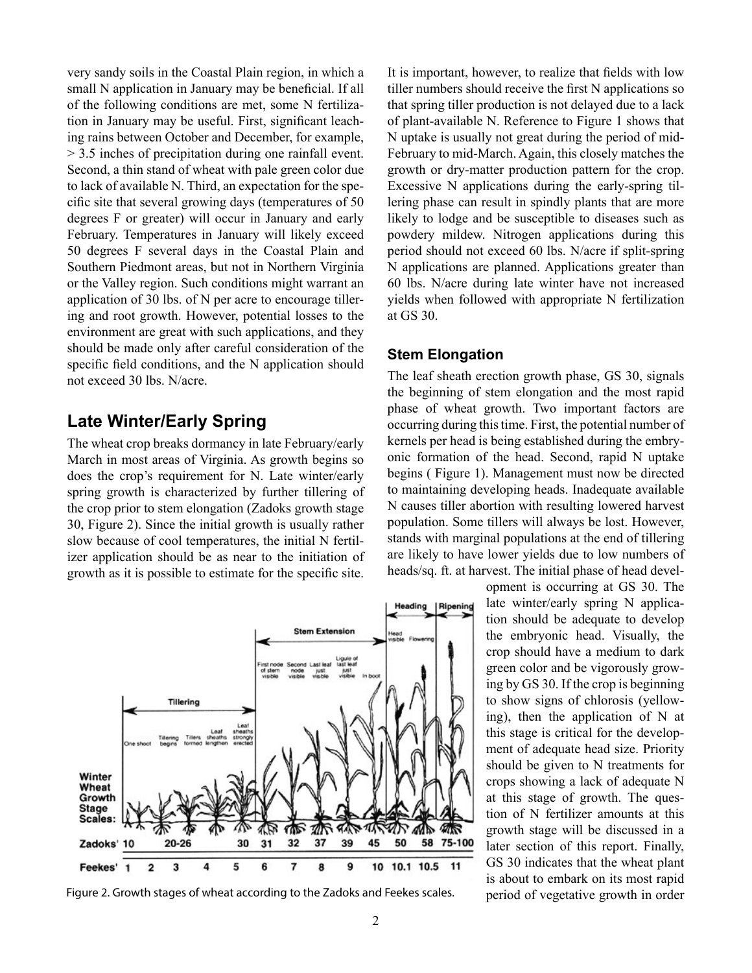very sandy soils in the Coastal Plain region, in which a small N application in January may be beneficial. If all of the following conditions are met, some N fertilization in January may be useful. First, significant leaching rains between October and December, for example, > 3.5 inches of precipitation during one rainfall event. Second, a thin stand of wheat with pale green color due to lack of available N. Third, an expectation for the specific site that several growing days (temperatures of 50 degrees F or greater) will occur in January and early February. Temperatures in January will likely exceed 50 degrees F several days in the Coastal Plain and Southern Piedmont areas, but not in Northern Virginia or the Valley region. Such conditions might warrant an application of 30 lbs. of N per acre to encourage tillering and root growth. However, potential losses to the environment are great with such applications, and they should be made only after careful consideration of the specific field conditions, and the N application should not exceed 30 lbs. N/acre.

### **Late Winter/Early Spring**

The wheat crop breaks dormancy in late February/early March in most areas of Virginia. As growth begins so does the crop's requirement for N. Late winter/early spring growth is characterized by further tillering of the crop prior to stem elongation (Zadoks growth stage 30, Figure 2). Since the initial growth is usually rather slow because of cool temperatures, the initial N fertilizer application should be as near to the initiation of growth as it is possible to estimate for the specific site.



Figure 2. Growth stages of wheat according to the Zadoks and Feekes scales. period of vegetative growth in order

It is important, however, to realize that fields with low tiller numbers should receive the first N applications so that spring tiller production is not delayed due to a lack of plant-available N. Reference to Figure 1 shows that N uptake is usually not great during the period of mid-February to mid-March. Again, this closely matches the growth or dry-matter production pattern for the crop. Excessive N applications during the early-spring tillering phase can result in spindly plants that are more likely to lodge and be susceptible to diseases such as powdery mildew. Nitrogen applications during this period should not exceed 60 lbs. N/acre if split-spring N applications are planned. Applications greater than 60 lbs. N/acre during late winter have not increased yields when followed with appropriate N fertilization at GS 30.

#### **Stem Elongation**

The leaf sheath erection growth phase, GS 30, signals the beginning of stem elongation and the most rapid phase of wheat growth. Two important factors are occurring during this time. First, the potential number of kernels per head is being established during the embryonic formation of the head. Second, rapid N uptake begins ( Figure 1). Management must now be directed to maintaining developing heads. Inadequate available N causes tiller abortion with resulting lowered harvest population. Some tillers will always be lost. However, stands with marginal populations at the end of tillering are likely to have lower yields due to low numbers of heads/sq. ft. at harvest. The initial phase of head devel-

> opment is occurring at GS 30. The late winter/early spring N application should be adequate to develop the embryonic head. Visually, the crop should have a medium to dark green color and be vigorously growing by GS 30. If the crop is beginning to show signs of chlorosis (yellowing), then the application of N at this stage is critical for the development of adequate head size. Priority should be given to N treatments for crops showing a lack of adequate N at this stage of growth. The question of N fertilizer amounts at this growth stage will be discussed in a later section of this report. Finally, GS 30 indicates that the wheat plant is about to embark on its most rapid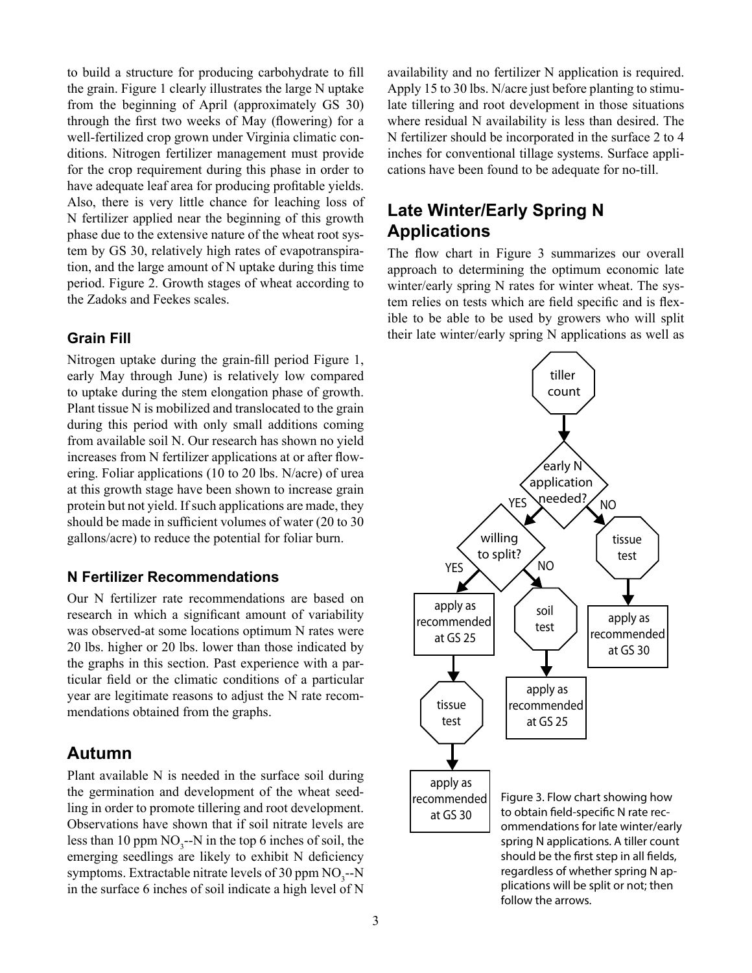to build a structure for producing carbohydrate to fill the grain. Figure 1 clearly illustrates the large N uptake from the beginning of April (approximately GS 30) through the first two weeks of May (flowering) for a well-fertilized crop grown under Virginia climatic conditions. Nitrogen fertilizer management must provide for the crop requirement during this phase in order to have adequate leaf area for producing profitable yields. Also, there is very little chance for leaching loss of N fertilizer applied near the beginning of this growth phase due to the extensive nature of the wheat root system by GS 30, relatively high rates of evapotranspiration, and the large amount of N uptake during this time period. Figure 2. Growth stages of wheat according to the Zadoks and Feekes scales.

#### **Grain Fill**

Nitrogen uptake during the grain-fill period Figure 1, early May through June) is relatively low compared to uptake during the stem elongation phase of growth. Plant tissue N is mobilized and translocated to the grain during this period with only small additions coming from available soil N. Our research has shown no yield increases from N fertilizer applications at or after flowering. Foliar applications (10 to 20 lbs. N/acre) of urea at this growth stage have been shown to increase grain protein but not yield. If such applications are made, they should be made in sufficient volumes of water (20 to 30 gallons/acre) to reduce the potential for foliar burn.

#### **N Fertilizer Recommendations**

Our N fertilizer rate recommendations are based on research in which a significant amount of variability was observed-at some locations optimum N rates were 20 lbs. higher or 20 lbs. lower than those indicated by the graphs in this section. Past experience with a particular field or the climatic conditions of a particular year are legitimate reasons to adjust the N rate recommendations obtained from the graphs.

#### **Autumn**

Plant available N is needed in the surface soil during the germination and development of the wheat seedling in order to promote tillering and root development. Observations have shown that if soil nitrate levels are less than 10 ppm  $NO_3$ --N in the top 6 inches of soil, the emerging seedlings are likely to exhibit N deficiency symptoms. Extractable nitrate levels of 30 ppm  $NO_3$ --N in the surface 6 inches of soil indicate a high level of N

availability and no fertilizer N application is required. Apply 15 to 30 lbs. N/acre just before planting to stimulate tillering and root development in those situations where residual N availability is less than desired. The N fertilizer should be incorporated in the surface 2 to 4 inches for conventional tillage systems. Surface applications have been found to be adequate for no-till.

## **Late Winter/Early Spring N Applications**

The flow chart in Figure 3 summarizes our overall approach to determining the optimum economic late winter/early spring N rates for winter wheat. The system relies on tests which are field specific and is flexible to be able to be used by growers who will split their late winter/early spring N applications as well as



ommendations for late winter/early spring N applications. A tiller count should be the first step in all fields, regardless of whether spring N applications will be split or not; then follow the arrows.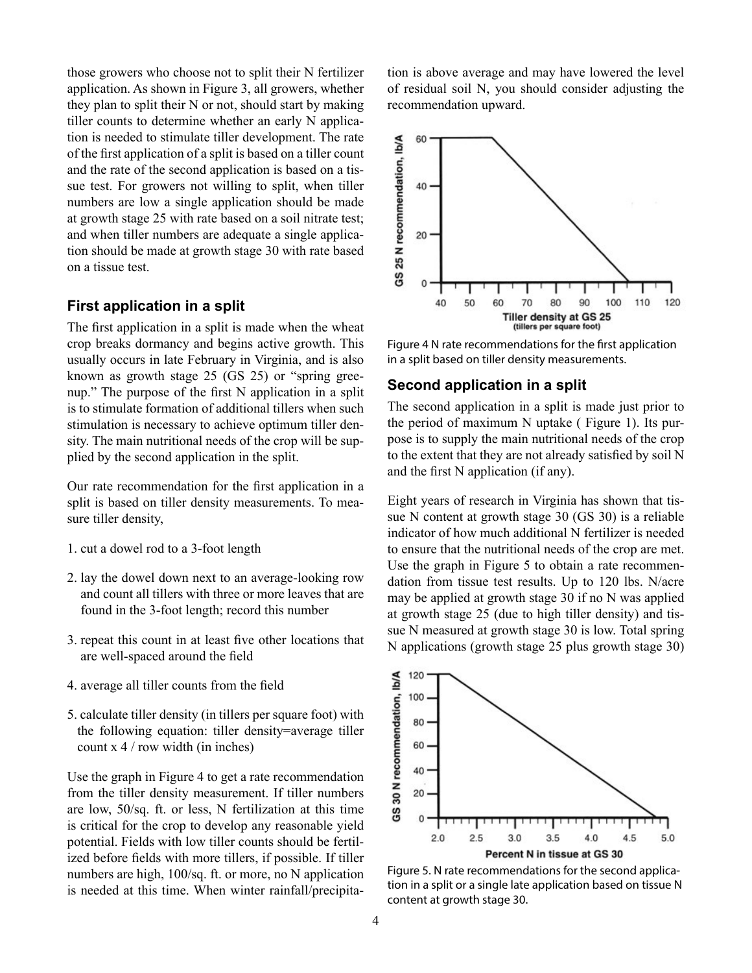those growers who choose not to split their N fertilizer application. As shown in Figure 3, all growers, whether they plan to split their N or not, should start by making tiller counts to determine whether an early N application is needed to stimulate tiller development. The rate of the first application of a split is based on a tiller count and the rate of the second application is based on a tissue test. For growers not willing to split, when tiller numbers are low a single application should be made at growth stage 25 with rate based on a soil nitrate test; and when tiller numbers are adequate a single application should be made at growth stage 30 with rate based on a tissue test.

#### **First application in a split**

The first application in a split is made when the wheat crop breaks dormancy and begins active growth. This usually occurs in late February in Virginia, and is also known as growth stage 25 (GS 25) or "spring greenup." The purpose of the first N application in a split is to stimulate formation of additional tillers when such stimulation is necessary to achieve optimum tiller density. The main nutritional needs of the crop will be supplied by the second application in the split.

Our rate recommendation for the first application in a split is based on tiller density measurements. To measure tiller density,

- 1. cut a dowel rod to a 3-foot length
- 2. lay the dowel down next to an average-looking row and count all tillers with three or more leaves that are found in the 3-foot length; record this number
- 3. repeat this count in at least five other locations that are well-spaced around the field
- 4. average all tiller counts from the field
- 5. calculate tiller density (in tillers per square foot) with the following equation: tiller density=average tiller count x 4 / row width (in inches)

Use the graph in Figure 4 to get a rate recommendation from the tiller density measurement. If tiller numbers are low, 50/sq. ft. or less, N fertilization at this time is critical for the crop to develop any reasonable yield potential. Fields with low tiller counts should be fertilized before fields with more tillers, if possible. If tiller numbers are high, 100/sq. ft. or more, no N application is needed at this time. When winter rainfall/precipitation is above average and may have lowered the level of residual soil N, you should consider adjusting the recommendation upward.



Figure 4 N rate recommendations for the first application in a split based on tiller density measurements.

#### **Second application in a split**

The second application in a split is made just prior to the period of maximum N uptake ( Figure 1). Its purpose is to supply the main nutritional needs of the crop to the extent that they are not already satisfied by soil N and the first N application (if any).

Eight years of research in Virginia has shown that tissue N content at growth stage 30 (GS 30) is a reliable indicator of how much additional N fertilizer is needed to ensure that the nutritional needs of the crop are met. Use the graph in Figure 5 to obtain a rate recommendation from tissue test results. Up to 120 lbs. N/acre may be applied at growth stage 30 if no N was applied at growth stage 25 (due to high tiller density) and tissue N measured at growth stage 30 is low. Total spring N applications (growth stage 25 plus growth stage 30)



Figure 5. N rate recommendations for the second application in a split or a single late application based on tissue N content at growth stage 30.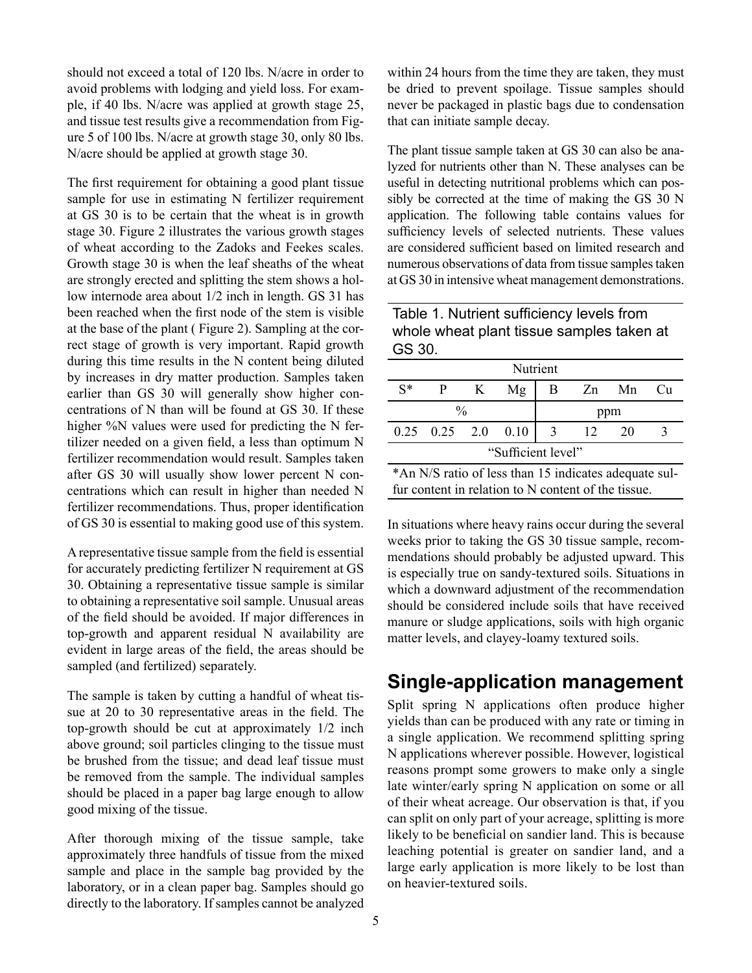should not exceed a total of 120 lbs. N/acre in order to avoid problems with lodging and yield loss. For example, if 40 lbs. N/acre was applied at growth stage 25, and tissue test results give a recommendation from Figure 5 of 100 lbs. N/acre at growth stage 30, only 80 lbs. N/acre should be applied at growth stage 30.

The first requirement for obtaining a good plant tissue sample for use in estimating N fertilizer requirement at GS 30 is to be certain that the wheat is in growth stage 30. Figure 2 illustrates the various growth stages of wheat according to the Zadoks and Feekes scales. Growth stage 30 is when the leaf sheaths of the wheat are strongly erected and splitting the stem shows a hollow internode area about 1/2 inch in length. GS 31 has been reached when the first node of the stem is visible at the base of the plant ( Figure 2). Sampling at the correct stage of growth is very important. Rapid growth during this time results in the N content being diluted by increases in dry matter production. Samples taken earlier than GS 30 will generally show higher concentrations of N than will be found at GS 30. If these higher %N values were used for predicting the N fertilizer needed on a given field, a less than optimum N fertilizer recommendation would result. Samples taken after GS 30 will usually show lower percent N concentrations which can result in higher than needed N fertilizer recommendations. Thus, proper identification of GS 30 is essential to making good use of this system.

A representative tissue sample from the field is essential for accurately predicting fertilizer N requirement at GS 30. Obtaining a representative tissue sample is similar to obtaining a representative soil sample. Unusual areas of the field should be avoided. If major differences in top-growth and apparent residual N availability are evident in large areas of the field, the areas should be sampled (and fertilized) separately.

The sample is taken by cutting a handful of wheat tissue at 20 to 30 representative areas in the field. The top-growth should be cut at approximately 1/2 inch above ground; soil particles clinging to the tissue must be brushed from the tissue; and dead leaf tissue must be removed from the sample. The individual samples should be placed in a paper bag large enough to allow good mixing of the tissue.

After thorough mixing of the tissue sample, take approximately three handfuls of tissue from the mixed sample and place in the sample bag provided by the laboratory, or in a clean paper bag. Samples should go directly to the laboratory. If samples cannot be analyzed

within 24 hours from the time they are taken, they must be dried to prevent spoilage. Tissue samples should never be packaged in plastic bags due to condensation that can initiate sample decay.

The plant tissue sample taken at GS 30 can also be analyzed for nutrients other than N. These analyses can be useful in detecting nutritional problems which can possibly be corrected at the time of making the GS 30 N application. The following table contains values for sufficiency levels of selected nutrients. These values are considered sufficient based on limited research and numerous observations of data from tissue samples taken at GS 30 in intensive wheat management demonstrations.

Table 1. Nutrient sufficiency levels from whole wheat plant tissue samples taken at GS 30.

| Nutrient                                              |                            |   |    |                |      |       |    |
|-------------------------------------------------------|----------------------------|---|----|----------------|------|-------|----|
| $S^*$                                                 |                            | K | Mg | B              |      | Zn Mn | Cu |
| $\frac{0}{0}$                                         |                            |   |    | ppm            |      |       |    |
|                                                       | $0.25$ $0.25$ $2.0$ $0.10$ |   |    | $\overline{3}$ | - 12 | 20    | 3  |
| "Sufficient level"                                    |                            |   |    |                |      |       |    |
| *An N/S ratio of less than 15 indicates adequate sul- |                            |   |    |                |      |       |    |

fur content in relation to N content of the tissue.

In situations where heavy rains occur during the several weeks prior to taking the GS 30 tissue sample, recommendations should probably be adjusted upward. This is especially true on sandy-textured soils. Situations in which a downward adjustment of the recommendation should be considered include soils that have received manure or sludge applications, soils with high organic matter levels, and clayey-loamy textured soils.

# **Single-application management**

Split spring N applications often produce higher yields than can be produced with any rate or timing in a single application. We recommend splitting spring N applications wherever possible. However, logistical reasons prompt some growers to make only a single late winter/early spring N application on some or all of their wheat acreage. Our observation is that, if you can split on only part of your acreage, splitting is more likely to be beneficial on sandier land. This is because leaching potential is greater on sandier land, and a large early application is more likely to be lost than on heavier-textured soils.